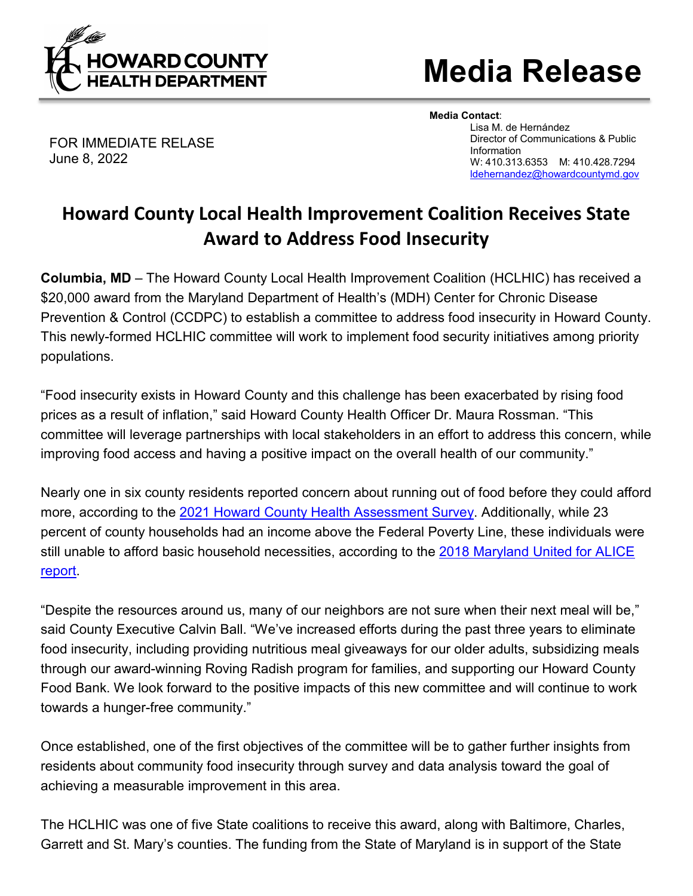

## **Media Release**

FOR IMMEDIATE RELASE June 8, 2022

**Media Contact**: Lisa M. de Hernández Director of Communications & Public Information W: 410.313.6353 M: 410.428.7294 [ldehernandez@howardcountymd.gov](mailto:ldehernandez@howardcountymd.gov)

## **Howard County Local Health Improvement Coalition Receives State Award to Address Food Insecurity**

**Columbia, MD** – The Howard County Local Health Improvement Coalition (HCLHIC) has received a \$20,000 award from the Maryland Department of Health's (MDH) Center for Chronic Disease Prevention & Control (CCDPC) to establish a committee to address food insecurity in Howard County. This newly-formed HCLHIC committee will work to implement food security initiatives among priority populations.

"Food insecurity exists in Howard County and this challenge has been exacerbated by rising food prices as a result of inflation," said Howard County Health Officer Dr. Maura Rossman. "This committee will leverage partnerships with local stakeholders in an effort to address this concern, while improving food access and having a positive impact on the overall health of our community."

Nearly one in six county residents reported concern about running out of food before they could afford more, according to the [2021 Howard County Health Assessment Survey.](https://www.howardcountymd.gov/howard-county-health-survey-2021) Additionally, while 23 percent of county households had an income above the Federal Poverty Line, these individuals were still unable to afford basic household necessities, according to the 2018 Maryland [United for ALICE](https://www.unitedforalice.org/county-profiles/maryland)  [report.](https://www.unitedforalice.org/county-profiles/maryland)

"Despite the resources around us, many of our neighbors are not sure when their next meal will be," said County Executive Calvin Ball. "We've increased efforts during the past three years to eliminate food insecurity, including providing nutritious meal giveaways for our older adults, subsidizing meals through our award-winning Roving Radish program for families, and supporting our Howard County Food Bank. We look forward to the positive impacts of this new committee and will continue to work towards a hunger-free community."

Once established, one of the first objectives of the committee will be to gather further insights from residents about community food insecurity through survey and data analysis toward the goal of achieving a measurable improvement in this area.

The HCLHIC was one of five State coalitions to receive this award, along with Baltimore, Charles, Garrett and St. Mary's counties. The funding from the State of Maryland is in support of the State